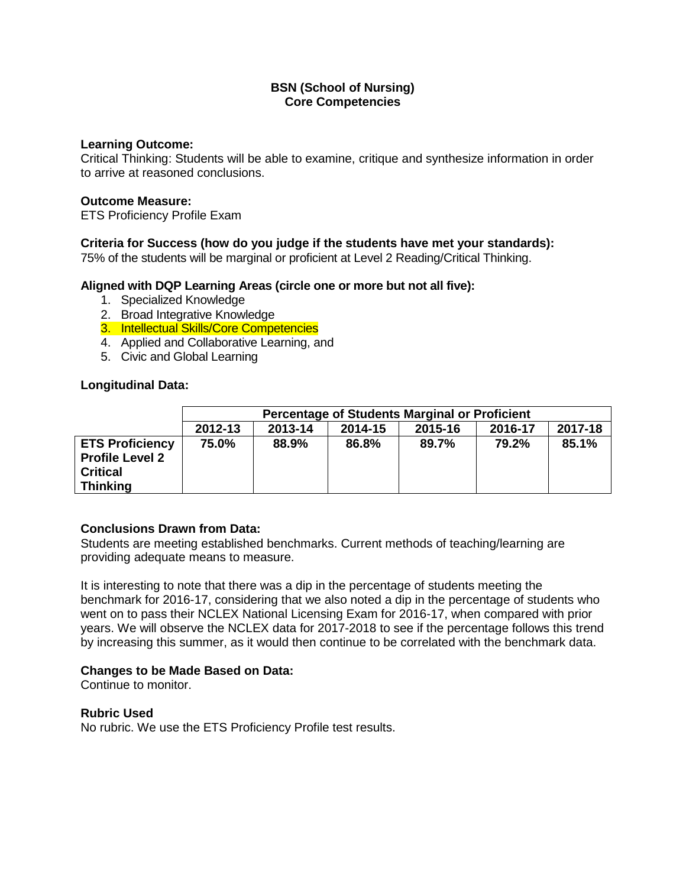### **Learning Outcome:**

Critical Thinking: Students will be able to examine, critique and synthesize information in order to arrive at reasoned conclusions.

## **Outcome Measure:**

ETS Proficiency Profile Exam

# **Criteria for Success (how do you judge if the students have met your standards):**

75% of the students will be marginal or proficient at Level 2 Reading/Critical Thinking.

## **Aligned with DQP Learning Areas (circle one or more but not all five):**

- 1. Specialized Knowledge
- 2. Broad Integrative Knowledge
- 3. Intellectual Skills/Core Competencies
- 4. Applied and Collaborative Learning, and
- 5. Civic and Global Learning

# **Longitudinal Data:**

|                        | <b>Percentage of Students Marginal or Proficient</b>           |       |       |       |       |       |  |  |  |
|------------------------|----------------------------------------------------------------|-------|-------|-------|-------|-------|--|--|--|
|                        | 2017-18<br>2012-13<br>2013-14<br>2015-16<br>2016-17<br>2014-15 |       |       |       |       |       |  |  |  |
| <b>ETS Proficiency</b> | 75.0%                                                          | 88.9% | 86.8% | 89.7% | 79.2% | 85.1% |  |  |  |
| <b>Profile Level 2</b> |                                                                |       |       |       |       |       |  |  |  |
| <b>Critical</b>        |                                                                |       |       |       |       |       |  |  |  |
| <b>Thinking</b>        |                                                                |       |       |       |       |       |  |  |  |

# **Conclusions Drawn from Data:**

Students are meeting established benchmarks. Current methods of teaching/learning are providing adequate means to measure.

It is interesting to note that there was a dip in the percentage of students meeting the benchmark for 2016-17, considering that we also noted a dip in the percentage of students who went on to pass their NCLEX National Licensing Exam for 2016-17, when compared with prior years. We will observe the NCLEX data for 2017-2018 to see if the percentage follows this trend by increasing this summer, as it would then continue to be correlated with the benchmark data.

# **Changes to be Made Based on Data:**

Continue to monitor.

**Rubric Used**

No rubric. We use the ETS Proficiency Profile test results.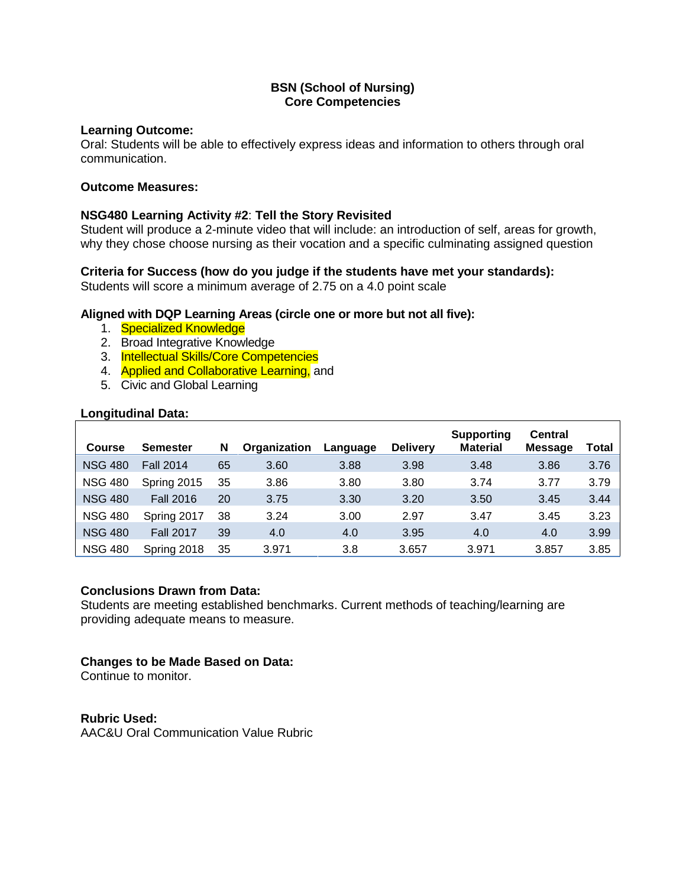### **Learning Outcome:**

Oral: Students will be able to effectively express ideas and information to others through oral communication.

#### **Outcome Measures:**

## **NSG480 Learning Activity #2**: **Tell the Story Revisited**

Student will produce a 2-minute video that will include: an introduction of self, areas for growth, why they chose choose nursing as their vocation and a specific culminating assigned question

## **Criteria for Success (how do you judge if the students have met your standards):**

Students will score a minimum average of 2.75 on a 4.0 point scale

### **Aligned with DQP Learning Areas (circle one or more but not all five):**

- 1. Specialized Knowledge
- 2. Broad Integrative Knowledge
- 3. Intellectual Skills/Core Competencies
- 4. Applied and Collaborative Learning, and
- 5. Civic and Global Learning

### **Longitudinal Data:**

| <b>Course</b>  | <b>Semester</b>  | N  | Organization | Language | <b>Delivery</b> | <b>Supporting</b><br><b>Material</b> | <b>Central</b><br><b>Message</b> | Total |
|----------------|------------------|----|--------------|----------|-----------------|--------------------------------------|----------------------------------|-------|
| <b>NSG 480</b> | <b>Fall 2014</b> | 65 | 3.60         | 3.88     | 3.98            | 3.48                                 | 3.86                             | 3.76  |
| <b>NSG 480</b> | Spring 2015      | 35 | 3.86         | 3.80     | 3.80            | 3.74                                 | 3.77                             | 3.79  |
| <b>NSG 480</b> | <b>Fall 2016</b> | 20 | 3.75         | 3.30     | 3.20            | 3.50                                 | 3.45                             | 3.44  |
| <b>NSG 480</b> | Spring 2017      | 38 | 3.24         | 3.00     | 2.97            | 3.47                                 | 3.45                             | 3.23  |
| <b>NSG 480</b> | <b>Fall 2017</b> | 39 | 4.0          | 4.0      | 3.95            | 4.0                                  | 4.0                              | 3.99  |
| <b>NSG 480</b> | Spring 2018      | 35 | 3.971        | 3.8      | 3.657           | 3.971                                | 3.857                            | 3.85  |

### **Conclusions Drawn from Data:**

Students are meeting established benchmarks. Current methods of teaching/learning are providing adequate means to measure.

### **Changes to be Made Based on Data:**

Continue to monitor.

### **Rubric Used:**

AAC&U Oral Communication Value Rubric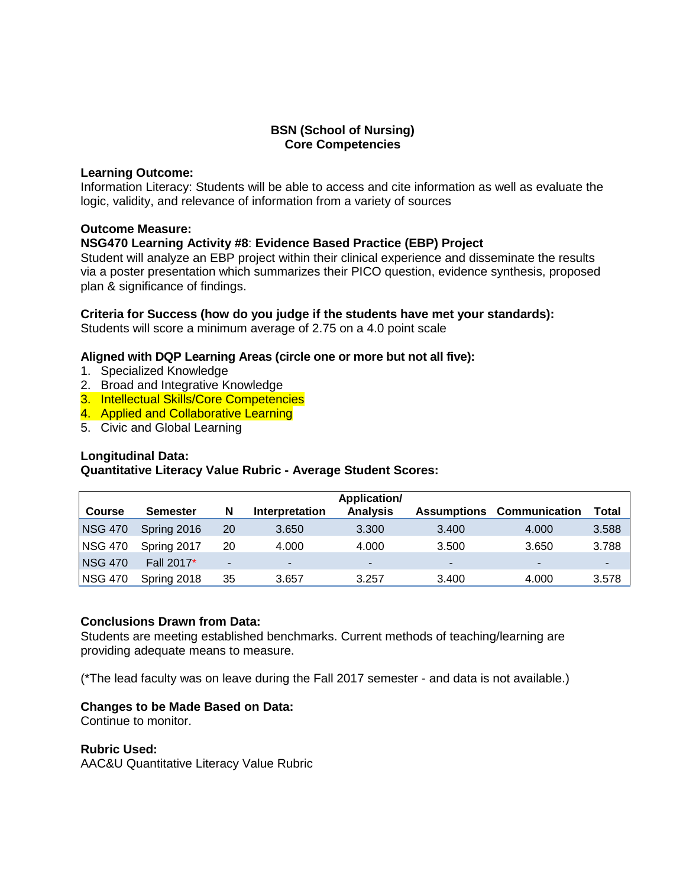#### **Learning Outcome:**

Information Literacy: Students will be able to access and cite information as well as evaluate the logic, validity, and relevance of information from a variety of sources

#### **Outcome Measure:**

### **NSG470 Learning Activity #8**: **Evidence Based Practice (EBP) Project**

Student will analyze an EBP project within their clinical experience and disseminate the results via a poster presentation which summarizes their PICO question, evidence synthesis, proposed plan & significance of findings.

### **Criteria for Success (how do you judge if the students have met your standards):**

Students will score a minimum average of 2.75 on a 4.0 point scale

#### **Aligned with DQP Learning Areas (circle one or more but not all five):**

- 1. Specialized Knowledge
- 2. Broad and Integrative Knowledge
- 3. Intellectual Skills/Core Competencies
- 4. Applied and Collaborative Learning
- 5. Civic and Global Learning

### **Longitudinal Data:**

### **Quantitative Literacy Value Rubric - Average Student Scores:**

|                |                 |                |                          | Application/    |                    |                      |       |
|----------------|-----------------|----------------|--------------------------|-----------------|--------------------|----------------------|-------|
| <b>Course</b>  | <b>Semester</b> | N              | Interpretation           | <b>Analysis</b> | <b>Assumptions</b> | <b>Communication</b> | Total |
| <b>NSG 470</b> | Spring 2016     | 20             | 3.650                    | 3.300           | 3.400              | 4.000                | 3.588 |
| <b>NSG 470</b> | Spring 2017     | 20             | 4.000                    | 4.000           | 3.500              | 3.650                | 3.788 |
| <b>NSG 470</b> | Fall 2017*      | $\blacksquare$ | $\overline{\phantom{a}}$ | ۰               | ۰                  | ۰.                   | -     |
| <b>NSG 470</b> | Spring 2018     | 35             | 3.657                    | 3.257           | 3.400              | 4.000                | 3.578 |

### **Conclusions Drawn from Data:**

Students are meeting established benchmarks. Current methods of teaching/learning are providing adequate means to measure.

(\*The lead faculty was on leave during the Fall 2017 semester - and data is not available.)

### **Changes to be Made Based on Data:**

Continue to monitor.

#### **Rubric Used:**

AAC&U Quantitative Literacy Value Rubric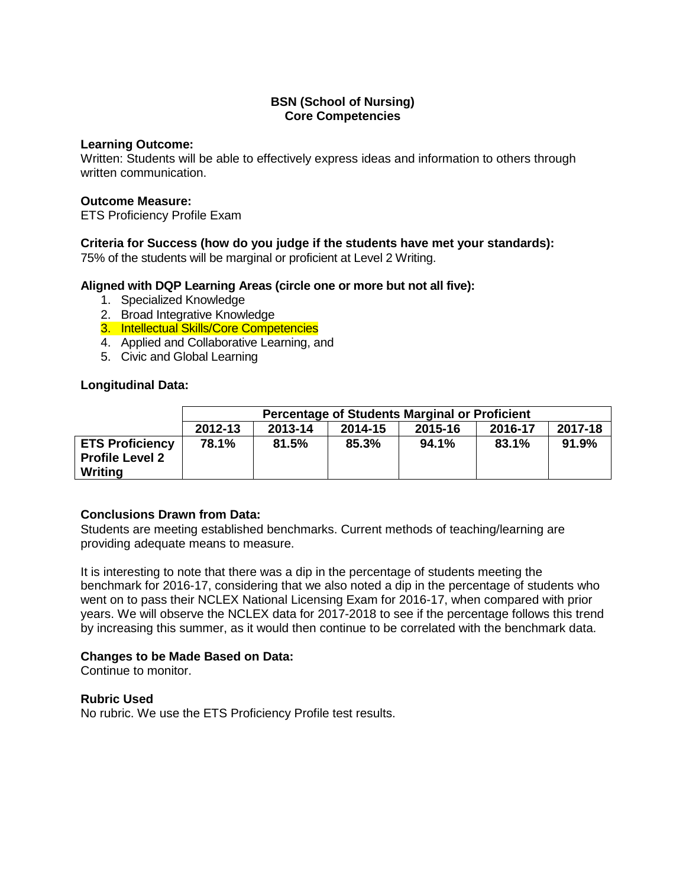#### **Learning Outcome:**

Written: Students will be able to effectively express ideas and information to others through written communication.

## **Outcome Measure:**

ETS Proficiency Profile Exam

# **Criteria for Success (how do you judge if the students have met your standards):**

75% of the students will be marginal or proficient at Level 2 Writing.

## **Aligned with DQP Learning Areas (circle one or more but not all five):**

- 1. Specialized Knowledge
- 2. Broad Integrative Knowledge
- 3. Intellectual Skills/Core Competencies
- 4. Applied and Collaborative Learning, and
- 5. Civic and Global Learning

## **Longitudinal Data:**

|                                                             | <b>Percentage of Students Marginal or Proficient</b>           |       |       |       |       |       |  |  |
|-------------------------------------------------------------|----------------------------------------------------------------|-------|-------|-------|-------|-------|--|--|
|                                                             | 2017-18<br>2012-13<br>2013-14<br>2016-17<br>2015-16<br>2014-15 |       |       |       |       |       |  |  |
| <b>ETS Proficiency</b><br><b>Profile Level 2</b><br>Writing | 78.1%                                                          | 81.5% | 85.3% | 94.1% | 83.1% | 91.9% |  |  |

# **Conclusions Drawn from Data:**

Students are meeting established benchmarks. Current methods of teaching/learning are providing adequate means to measure.

It is interesting to note that there was a dip in the percentage of students meeting the benchmark for 2016-17, considering that we also noted a dip in the percentage of students who went on to pass their NCLEX National Licensing Exam for 2016-17, when compared with prior years. We will observe the NCLEX data for 2017-2018 to see if the percentage follows this trend by increasing this summer, as it would then continue to be correlated with the benchmark data.

# **Changes to be Made Based on Data:**

Continue to monitor.

**Rubric Used** No rubric. We use the ETS Proficiency Profile test results.